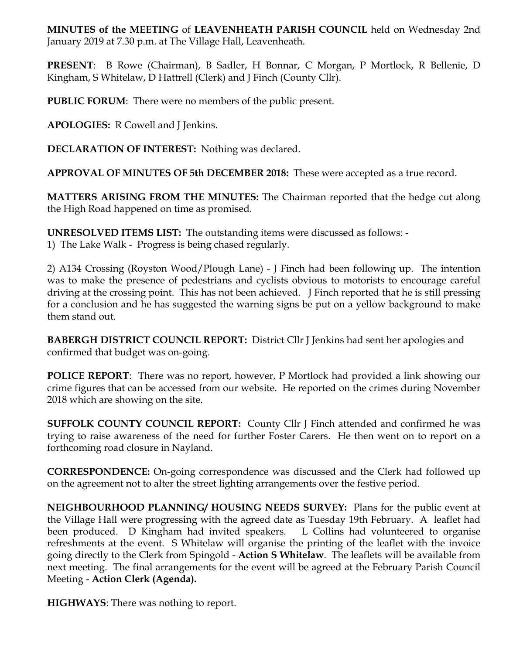**MINUTES of the MEETING** of **LEAVENHEATH PARISH COUNCIL** held on Wednesday 2nd January 2019 at 7.30 p.m. at The Village Hall, Leavenheath.

**PRESENT**: B Rowe (Chairman), B Sadler, H Bonnar, C Morgan, P Mortlock, R Bellenie, D Kingham, S Whitelaw, D Hattrell (Clerk) and J Finch (County Cllr).

**PUBLIC FORUM**: There were no members of the public present.

**APOLOGIES:** R Cowell and J Jenkins.

**DECLARATION OF INTEREST:** Nothing was declared.

**APPROVAL OF MINUTES OF 5th DECEMBER 2018:** These were accepted as a true record.

**MATTERS ARISING FROM THE MINUTES:** The Chairman reported that the hedge cut along the High Road happened on time as promised.

**UNRESOLVED ITEMS LIST:** The outstanding items were discussed as follows: -

1) The Lake Walk - Progress is being chased regularly.

2) A134 Crossing (Royston Wood/Plough Lane) - J Finch had been following up. The intention was to make the presence of pedestrians and cyclists obvious to motorists to encourage careful driving at the crossing point. This has not been achieved. J Finch reported that he is still pressing for a conclusion and he has suggested the warning signs be put on a yellow background to make them stand out.

**BABERGH DISTRICT COUNCIL REPORT:** District Cllr J Jenkins had sent her apologies and confirmed that budget was on-going.

**POLICE REPORT**: There was no report, however, P Mortlock had provided a link showing our crime figures that can be accessed from our website. He reported on the crimes during November 2018 which are showing on the site.

**SUFFOLK COUNTY COUNCIL REPORT:** County Cllr J Finch attended and confirmed he was trying to raise awareness of the need for further Foster Carers. He then went on to report on a forthcoming road closure in Nayland.

**CORRESPONDENCE:** On-going correspondence was discussed and the Clerk had followed up on the agreement not to alter the street lighting arrangements over the festive period.

**NEIGHBOURHOOD PLANNING/ HOUSING NEEDS SURVEY:** Plans for the public event at the Village Hall were progressing with the agreed date as Tuesday 19th February. A leaflet had been produced. D Kingham had invited speakers. L Collins had volunteered to organise refreshments at the event. S Whitelaw will organise the printing of the leaflet with the invoice going directly to the Clerk from Spingold - **Action S Whitelaw**. The leaflets will be available from next meeting. The final arrangements for the event will be agreed at the February Parish Council Meeting - **Action Clerk (Agenda).**

**HIGHWAYS**: There was nothing to report.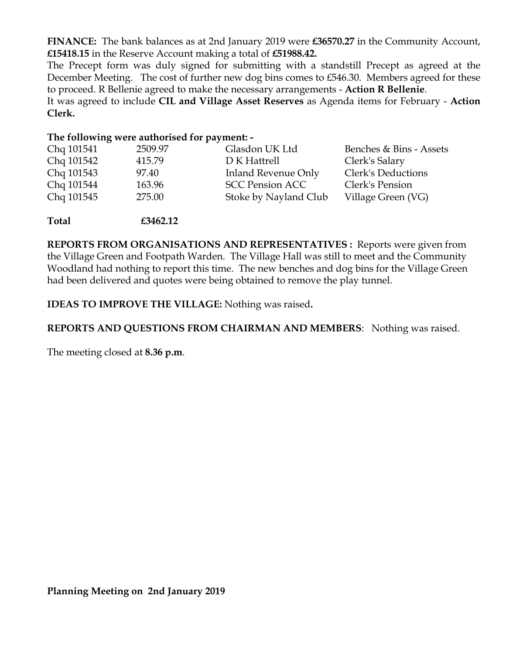**FINANCE:** The bank balances as at 2nd January 2019 were **£36570.27** in the Community Account, **£15418.15** in the Reserve Account making a total of **£51988.42.**

The Precept form was duly signed for submitting with a standstill Precept as agreed at the December Meeting. The cost of further new dog bins comes to £546.30. Members agreed for these to proceed. R Bellenie agreed to make the necessary arrangements - **Action R Bellenie**.

It was agreed to include **CIL and Village Asset Reserves** as Agenda items for February - **Action Clerk.** 

## **The following were authorised for payment: -**

| Chq 101541 | 2509.97 | Glasdon UK Ltd         | Benches & Bins - Assets |
|------------|---------|------------------------|-------------------------|
| Chq 101542 | 415.79  | D K Hattrell           | Clerk's Salary          |
| Chq 101543 | 97.40   | Inland Revenue Only    | Clerk's Deductions      |
| Chq 101544 | 163.96  | <b>SCC Pension ACC</b> | Clerk's Pension         |
| Chq 101545 | 275.00  | Stoke by Nayland Club  | Village Green (VG)      |
|            |         |                        |                         |

**Total £3462.12**

**REPORTS FROM ORGANISATIONS AND REPRESENTATIVES :** Reports were given from the Village Green and Footpath Warden. The Village Hall was still to meet and the Community Woodland had nothing to report this time. The new benches and dog bins for the Village Green had been delivered and quotes were being obtained to remove the play tunnel.

**IDEAS TO IMPROVE THE VILLAGE:** Nothing was raised**.** 

## **REPORTS AND QUESTIONS FROM CHAIRMAN AND MEMBERS**: Nothing was raised.

The meeting closed at **8.36 p.m**.